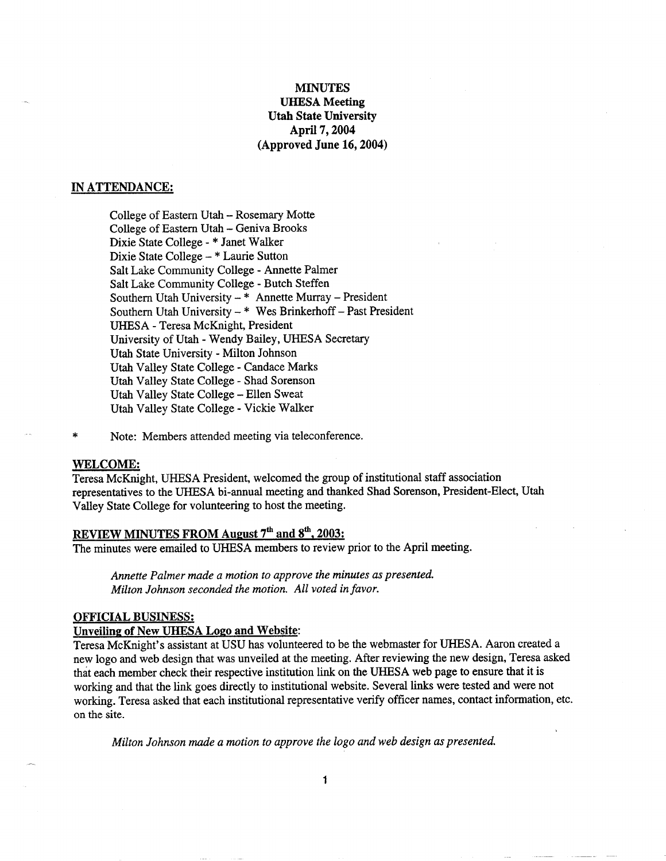# MINUTES **UHESA Meeting Utah State University April 7,2004 (Approved June 16,2004)**

### **IN ATTENDANCE;**

College of Eastern Utah - Rosemary Motte College of Eastern Utah - Geniva Brooks Dixie State College - \* Janet Walker Dixie State College - \* Laurie Sutton Salt Lake Community College - Annette Palmer Salt Lake Community College - Butch Steffen Southern Utah University - \* Annette Murray - President Southern Utah University - \* Wes Brinkerhoff - Past President UHESA - Teresa McKnight, President University of Utah - Wendy Bailey, UHESA Secretary Utah State University - Milton Johnson Utah Valley State College - Candace Marks Utah Valley State College - Shad Sorenson Utah Valley State College - Ellen Sweat Utah Valley State College - Vickie Walker

Note: Members attended meeting via teleconference.

#### **WELCOME;**

Teresa McKnight, UHESA President, welcomed the group of institutional staff association representatives to the UHESA bi-annual meeting and thanked Shad Sorenson, President-Elect, Utah Valley State College for volunteering to host the meeting.

# **REVIEW MINUTES FROM August** 7th **and 8th. 2003;**

The minutes were emailed to UHESA members to review prior to the April meeting.

*Annette Palmer made a motion to approve the minutes as presented. Milton Johnson seconded the motion. All voted in favor.*

## **OFFICIAL BUSINESS;**

## **Unveiling of New UHESA Logo and Website:**

Teresa McKnight's assistant at USU has volunteered to be the webmaster for UHESA. Aaron created a new logo and web design that was unveiled at the meeting. After reviewing the new design, Teresa asked that each member check their respective institution link on the UHESA web page to ensure that it is working and that the link goes directly to institutional website. Several links were tested and were not working. Teresa asked that each institutional representative verify officer names, contact information, etc. on the site.

*Milton Johnson made a motion to approve the logo and web design as presented.*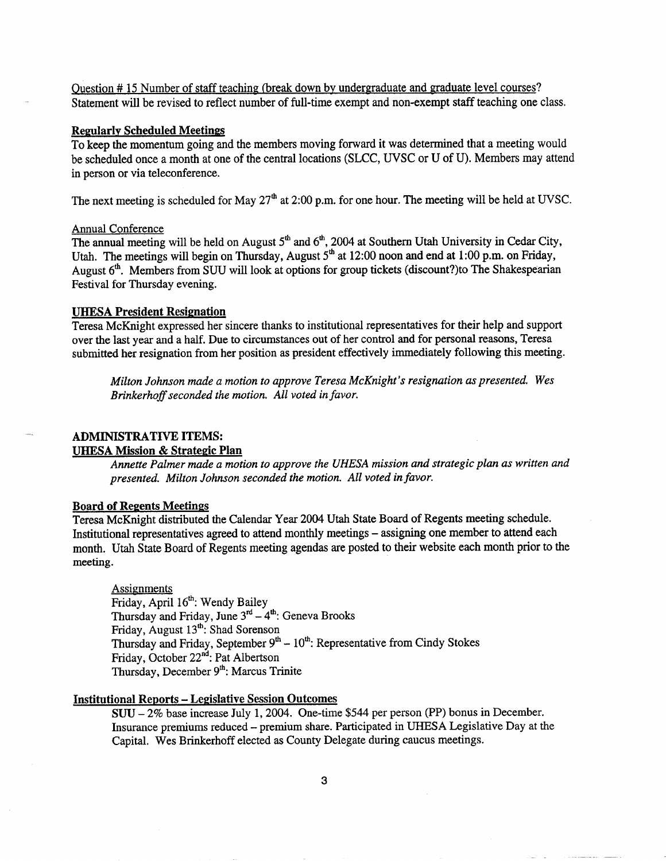Question #15 Number of staff teaching (break down by undergraduate and graduate level courses? Statement will be revised to reflect number of full-time exempt and non-exempt staff teaching one class.

### **Regularly Scheduled Meetings**

To keep the momentum going and the members moving forward it was determined that a meeting would be scheduled once a month at one of the central locations (SLCC, UVSC or U of U). Members may attend in person or via teleconference.

The next meeting is scheduled for May  $27<sup>th</sup>$  at 2:00 p.m. for one hour. The meeting will be held at UVSC.

### Annual Conference

The annual meeting will be held on August  $5<sup>th</sup>$  and  $6<sup>th</sup>$ , 2004 at Southern Utah University in Cedar City, Utah. The meetings will begin on Thursday, August  $5<sup>th</sup>$  at 12:00 noon and end at 1:00 p.m. on Friday, August 6\*. Members from SUU will look at options for group tickets (discount?)to The Shakespearian Festival for Thursday evening.

## **UHESA President Resignation**

Teresa McKnight expressed her sincere thanks to institutional representatives for their help and support over the last year and a half. Due to circumstances out of her control and for personal reasons, Teresa submitted her resignation from her position as president effectively immediately following this meeting.

*Milton Johnson made a motion to approve Teresa McKnight's resignation as presented. Wes Brinkerhoff seconded the motion. All voted in favor.*

## **ADMINISTRATIVE ITEMS:**

### **UHESA Mission & Strategic Plan**

*Annette Palmer made a motion to approve the UHESA mission and strategic plan as written and presented. Milton Johnson seconded the motion. All voted in favor.*

### **Board of Regents Meetings**

Teresa McKnight distributed the Calendar Year 2004 Utah State Board of Regents meeting schedule. Institutional representatives agreed to attend monthly meetings - assigning one member to attend each month. Utah State Board of Regents meeting agendas are posted to their website each month prior to the meeting.

Assignments

Friday, April 16<sup>th</sup>: Wendy Bailey Thursday and Friday, June  $3^{rd} - 4^{th}$ : Geneva Brooks Friday, August  $13^{th}$ : Shad Sorenson Thursday and Friday, September  $9<sup>th</sup> - 10<sup>th</sup>$ : Representative from Cindy Stokes Friday, October 22<sup>nd</sup>: Pat Albertson Thursday, December 9<sup>th</sup>: Marcus Trinite

## **Institutional Reports - Legislative Session Outcomes**

SUU - 2% base increase July 1, 2004. One-time \$544 per person (PP) bonus in December. Insurance premiums reduced - premium share. Participated in UHESA legislative Day at the Capital. Wes Brinkerhoff elected as County Delegate during caucus meetings.